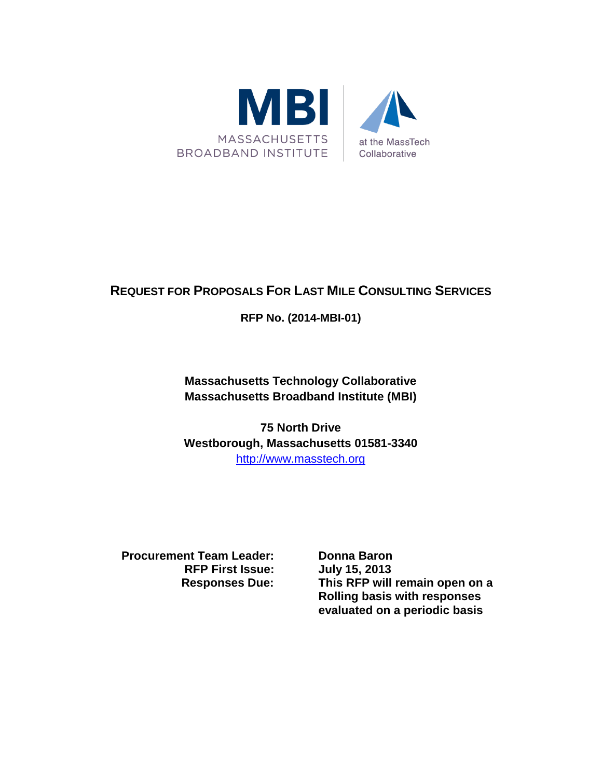

# **REQUEST FOR PROPOSALS FOR LAST MILE CONSULTING SERVICES**

# **RFP No. (2014-MBI-01)**

**Massachusetts Technology Collaborative Massachusetts Broadband Institute (MBI)**

**75 North Drive Westborough, Massachusetts 01581-3340** [http://www.masstech.org](http://www.masstech.org/)

**Procurement Team Leader:** Donna Baron **RFP First Issue: July 15, 2013**

**Responses Due: This RFP will remain open on a Rolling basis with responses evaluated on a periodic basis**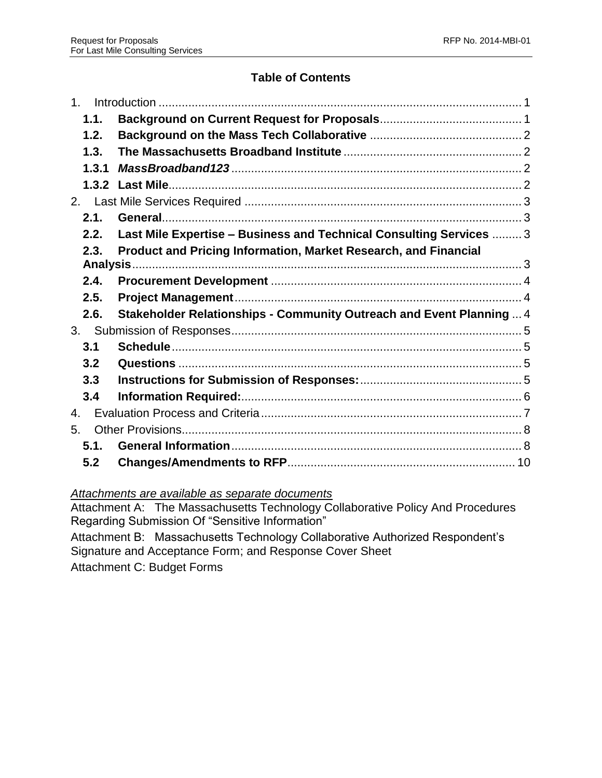# **Table of Contents**

| 1 <sup>1</sup> |                                                                      |  |  |  |  |
|----------------|----------------------------------------------------------------------|--|--|--|--|
| 1.1.           |                                                                      |  |  |  |  |
| 1.2.           |                                                                      |  |  |  |  |
| 1.3.           |                                                                      |  |  |  |  |
| 1.3.1          |                                                                      |  |  |  |  |
|                |                                                                      |  |  |  |  |
|                |                                                                      |  |  |  |  |
| 2.1.           |                                                                      |  |  |  |  |
| 2.2.           | Last Mile Expertise - Business and Technical Consulting Services  3  |  |  |  |  |
| 2.3.           | Product and Pricing Information, Market Research, and Financial      |  |  |  |  |
|                |                                                                      |  |  |  |  |
| 2.4.           |                                                                      |  |  |  |  |
| 2.5.           |                                                                      |  |  |  |  |
| 2.6.           | Stakeholder Relationships - Community Outreach and Event Planning  4 |  |  |  |  |
|                |                                                                      |  |  |  |  |
| 3.1            |                                                                      |  |  |  |  |
| 3.2            |                                                                      |  |  |  |  |
| 3.3            |                                                                      |  |  |  |  |
| 3.4            |                                                                      |  |  |  |  |
| 4.             |                                                                      |  |  |  |  |
| 5.             |                                                                      |  |  |  |  |
| 5.1.           |                                                                      |  |  |  |  |
| 5.2            |                                                                      |  |  |  |  |

# *Attachments are available as separate documents*

Attachment A: The Massachusetts Technology Collaborative Policy And Procedures Regarding Submission Of "Sensitive Information"

Attachment B: Massachusetts Technology Collaborative Authorized Respondent's Signature and Acceptance Form; and Response Cover Sheet

Attachment C: Budget Forms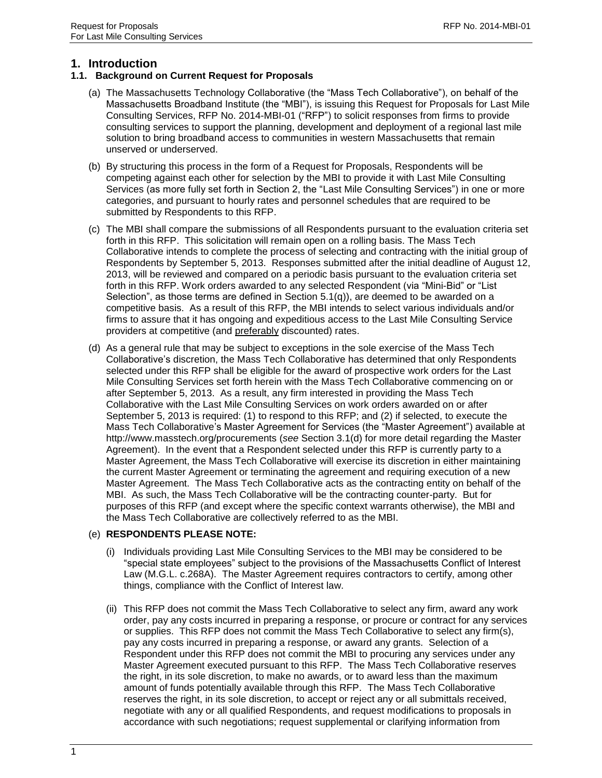### <span id="page-2-0"></span>**1. Introduction**

#### <span id="page-2-1"></span>**1.1. Background on Current Request for Proposals**

- (a) The Massachusetts Technology Collaborative (the "Mass Tech Collaborative"), on behalf of the Massachusetts Broadband Institute (the "MBI"), is issuing this Request for Proposals for Last Mile Consulting Services, RFP No. 2014-MBI-01 ("RFP") to solicit responses from firms to provide consulting services to support the planning, development and deployment of a regional last mile solution to bring broadband access to communities in western Massachusetts that remain unserved or underserved.
- (b) By structuring this process in the form of a Request for Proposals, Respondents will be competing against each other for selection by the MBI to provide it with Last Mile Consulting Services (as more fully set forth in Section 2, the "Last Mile Consulting Services") in one or more categories, and pursuant to hourly rates and personnel schedules that are required to be submitted by Respondents to this RFP.
- (c) The MBI shall compare the submissions of all Respondents pursuant to the evaluation criteria set forth in this RFP. This solicitation will remain open on a rolling basis. The Mass Tech Collaborative intends to complete the process of selecting and contracting with the initial group of Respondents by September 5, 2013. Responses submitted after the initial deadline of August 12, 2013, will be reviewed and compared on a periodic basis pursuant to the evaluation criteria set forth in this RFP. Work orders awarded to any selected Respondent (via "Mini-Bid" or "List Selection", as those terms are defined in Section 5.1(q)), are deemed to be awarded on a competitive basis. As a result of this RFP, the MBI intends to select various individuals and/or firms to assure that it has ongoing and expeditious access to the Last Mile Consulting Service providers at competitive (and preferably discounted) rates.
- (d) As a general rule that may be subject to exceptions in the sole exercise of the Mass Tech Collaborative's discretion, the Mass Tech Collaborative has determined that only Respondents selected under this RFP shall be eligible for the award of prospective work orders for the Last Mile Consulting Services set forth herein with the Mass Tech Collaborative commencing on or after September 5, 2013. As a result, any firm interested in providing the Mass Tech Collaborative with the Last Mile Consulting Services on work orders awarded on or after September 5, 2013 is required: (1) to respond to this RFP; and (2) if selected, to execute the Mass Tech Collaborative's Master Agreement for Services (the "Master Agreement") available at http://www.masstech.org/procurements (*see* Section 3.1(d) for more detail regarding the Master Agreement). In the event that a Respondent selected under this RFP is currently party to a Master Agreement, the Mass Tech Collaborative will exercise its discretion in either maintaining the current Master Agreement or terminating the agreement and requiring execution of a new Master Agreement. The Mass Tech Collaborative acts as the contracting entity on behalf of the MBI. As such, the Mass Tech Collaborative will be the contracting counter-party. But for purposes of this RFP (and except where the specific context warrants otherwise), the MBI and the Mass Tech Collaborative are collectively referred to as the MBI.

#### (e) **RESPONDENTS PLEASE NOTE:**

- (i) Individuals providing Last Mile Consulting Services to the MBI may be considered to be "special state employees" subject to the provisions of the Massachusetts Conflict of Interest Law (M.G.L. c.268A). The Master Agreement requires contractors to certify, among other things, compliance with the Conflict of Interest law.
- (ii) This RFP does not commit the Mass Tech Collaborative to select any firm, award any work order, pay any costs incurred in preparing a response, or procure or contract for any services or supplies. This RFP does not commit the Mass Tech Collaborative to select any firm(s), pay any costs incurred in preparing a response, or award any grants. Selection of a Respondent under this RFP does not commit the MBI to procuring any services under any Master Agreement executed pursuant to this RFP. The Mass Tech Collaborative reserves the right, in its sole discretion, to make no awards, or to award less than the maximum amount of funds potentially available through this RFP. The Mass Tech Collaborative reserves the right, in its sole discretion, to accept or reject any or all submittals received, negotiate with any or all qualified Respondents, and request modifications to proposals in accordance with such negotiations; request supplemental or clarifying information from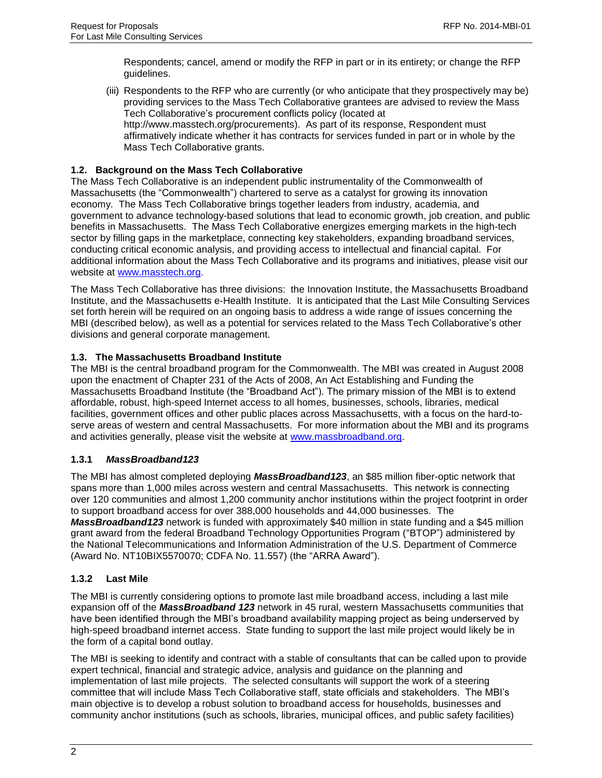Respondents; cancel, amend or modify the RFP in part or in its entirety; or change the RFP guidelines.

(iii) Respondents to the RFP who are currently (or who anticipate that they prospectively may be) providing services to the Mass Tech Collaborative grantees are advised to review the Mass Tech Collaborative's procurement conflicts policy (located at http://www.masstech.org/procurements). As part of its response, Respondent must affirmatively indicate whether it has contracts for services funded in part or in whole by the Mass Tech Collaborative grants.

### <span id="page-3-0"></span>**1.2. Background on the Mass Tech Collaborative**

The Mass Tech Collaborative is an independent public instrumentality of the Commonwealth of Massachusetts (the "Commonwealth") chartered to serve as a catalyst for growing its innovation economy. The Mass Tech Collaborative brings together leaders from industry, academia, and government to advance technology-based solutions that lead to economic growth, job creation, and public benefits in Massachusetts. The Mass Tech Collaborative energizes emerging markets in the high-tech sector by filling gaps in the marketplace, connecting key stakeholders, expanding broadband services, conducting critical economic analysis, and providing access to intellectual and financial capital. For additional information about the Mass Tech Collaborative and its programs and initiatives, please visit our website at [www.masstech.org.](http://www.masstech.org/)

The Mass Tech Collaborative has three divisions: the Innovation Institute, the Massachusetts Broadband Institute, and the Massachusetts e-Health Institute. It is anticipated that the Last Mile Consulting Services set forth herein will be required on an ongoing basis to address a wide range of issues concerning the MBI (described below), as well as a potential for services related to the Mass Tech Collaborative's other divisions and general corporate management.

### <span id="page-3-1"></span>**1.3. The Massachusetts Broadband Institute**

The MBI is the central broadband program for the Commonwealth. The MBI was created in August 2008 upon the enactment of Chapter 231 of the Acts of 2008, An Act Establishing and Funding the Massachusetts Broadband Institute (the "Broadband Act"). The primary mission of the MBI is to extend affordable, robust, high-speed Internet access to all homes, businesses, schools, libraries, medical facilities, government offices and other public places across Massachusetts, with a focus on the hard-toserve areas of western and central Massachusetts. For more information about the MBI and its programs and activities generally, please visit the website at [www.massbroadband.org.](http://www.massbroadband.org/)

### <span id="page-3-2"></span>**1.3.1** *MassBroadband123*

The MBI has almost completed deploying *MassBroadband123*, an \$85 million fiber-optic network that spans more than 1,000 miles across western and central Massachusetts. This network is connecting over 120 communities and almost 1,200 community anchor institutions within the project footprint in order to support broadband access for over 388,000 households and 44,000 businesses. The *MassBroadband123* network is funded with approximately \$40 million in state funding and a \$45 million grant award from the federal Broadband Technology Opportunities Program ("BTOP") administered by the National Telecommunications and Information Administration of the U.S. Department of Commerce (Award No. NT10BIX5570070; CDFA No. 11.557) (the "ARRA Award").

### <span id="page-3-3"></span>**1.3.2 Last Mile**

The MBI is currently considering options to promote last mile broadband access, including a last mile expansion off of the *MassBroadband 123* network in 45 rural, western Massachusetts communities that have been identified through the MBI's broadband availability mapping project as being underserved by high-speed broadband internet access. State funding to support the last mile project would likely be in the form of a capital bond outlay.

The MBI is seeking to identify and contract with a stable of consultants that can be called upon to provide expert technical, financial and strategic advice, analysis and guidance on the planning and implementation of last mile projects. The selected consultants will support the work of a steering committee that will include Mass Tech Collaborative staff, state officials and stakeholders. The MBI's main objective is to develop a robust solution to broadband access for households, businesses and community anchor institutions (such as schools, libraries, municipal offices, and public safety facilities)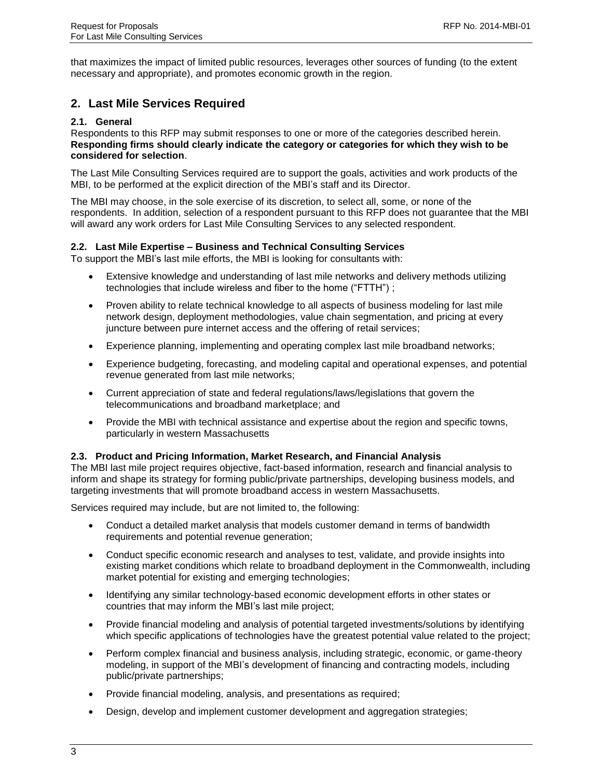that maximizes the impact of limited public resources, leverages other sources of funding (to the extent necessary and appropriate), and promotes economic growth in the region.

## <span id="page-4-0"></span>**2. Last Mile Services Required**

#### <span id="page-4-1"></span>**2.1. General**

Respondents to this RFP may submit responses to one or more of the categories described herein. **Responding firms should clearly indicate the category or categories for which they wish to be considered for selection**.

The Last Mile Consulting Services required are to support the goals, activities and work products of the MBI, to be performed at the explicit direction of the MBI's staff and its Director.

The MBI may choose, in the sole exercise of its discretion, to select all, some, or none of the respondents. In addition, selection of a respondent pursuant to this RFP does not guarantee that the MBI will award any work orders for Last Mile Consulting Services to any selected respondent.

#### <span id="page-4-2"></span>**2.2. Last Mile Expertise – Business and Technical Consulting Services**

To support the MBI's last mile efforts, the MBI is looking for consultants with:

- Extensive knowledge and understanding of last mile networks and delivery methods utilizing technologies that include wireless and fiber to the home ("FTTH") ;
- Proven ability to relate technical knowledge to all aspects of business modeling for last mile network design, deployment methodologies, value chain segmentation, and pricing at every juncture between pure internet access and the offering of retail services;
- Experience planning, implementing and operating complex last mile broadband networks;
- Experience budgeting, forecasting, and modeling capital and operational expenses, and potential revenue generated from last mile networks;
- Current appreciation of state and federal regulations/laws/legislations that govern the telecommunications and broadband marketplace; and
- Provide the MBI with technical assistance and expertise about the region and specific towns, particularly in western Massachusetts

#### <span id="page-4-3"></span>**2.3. Product and Pricing Information, Market Research, and Financial Analysis**

The MBI last mile project requires objective, fact-based information, research and financial analysis to inform and shape its strategy for forming public/private partnerships, developing business models, and targeting investments that will promote broadband access in western Massachusetts.

Services required may include, but are not limited to, the following:

- Conduct a detailed market analysis that models customer demand in terms of bandwidth requirements and potential revenue generation;
- Conduct specific economic research and analyses to test, validate, and provide insights into existing market conditions which relate to broadband deployment in the Commonwealth, including market potential for existing and emerging technologies;
- Identifying any similar technology-based economic development efforts in other states or countries that may inform the MBI's last mile project;
- Provide financial modeling and analysis of potential targeted investments/solutions by identifying which specific applications of technologies have the greatest potential value related to the project;
- Perform complex financial and business analysis, including strategic, economic, or game-theory modeling, in support of the MBI's development of financing and contracting models, including public/private partnerships;
- Provide financial modeling, analysis, and presentations as required;
- Design, develop and implement customer development and aggregation strategies;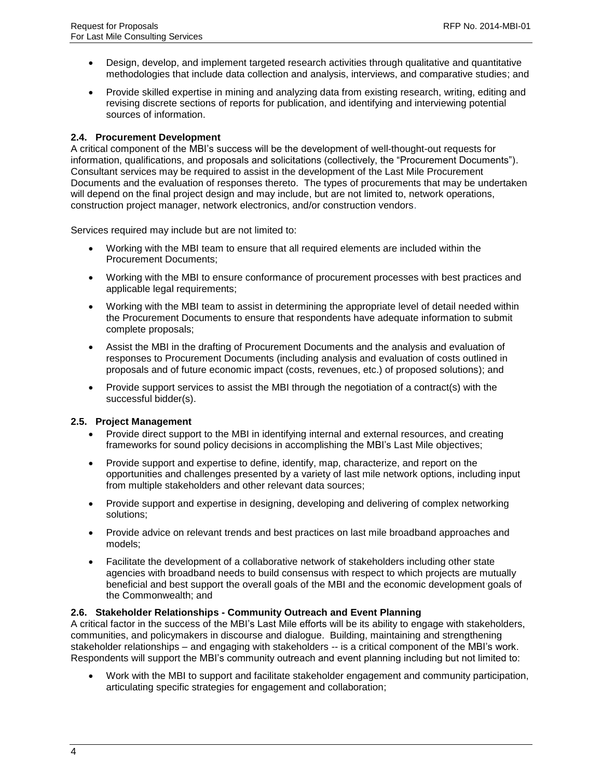- Design, develop, and implement targeted research activities through qualitative and quantitative methodologies that include data collection and analysis, interviews, and comparative studies; and
- Provide skilled expertise in mining and analyzing data from existing research, writing, editing and revising discrete sections of reports for publication, and identifying and interviewing potential sources of information.

### <span id="page-5-0"></span>**2.4. Procurement Development**

A critical component of the MBI's success will be the development of well-thought-out requests for information, qualifications, and proposals and solicitations (collectively, the "Procurement Documents"). Consultant services may be required to assist in the development of the Last Mile Procurement Documents and the evaluation of responses thereto. The types of procurements that may be undertaken will depend on the final project design and may include, but are not limited to, network operations, construction project manager, network electronics, and/or construction vendors.

Services required may include but are not limited to:

- Working with the MBI team to ensure that all required elements are included within the Procurement Documents;
- Working with the MBI to ensure conformance of procurement processes with best practices and applicable legal requirements;
- Working with the MBI team to assist in determining the appropriate level of detail needed within the Procurement Documents to ensure that respondents have adequate information to submit complete proposals;
- Assist the MBI in the drafting of Procurement Documents and the analysis and evaluation of responses to Procurement Documents (including analysis and evaluation of costs outlined in proposals and of future economic impact (costs, revenues, etc.) of proposed solutions); and
- Provide support services to assist the MBI through the negotiation of a contract(s) with the successful bidder(s).

#### <span id="page-5-1"></span>**2.5. Project Management**

- Provide direct support to the MBI in identifying internal and external resources, and creating frameworks for sound policy decisions in accomplishing the MBI's Last Mile objectives;
- Provide support and expertise to define, identify, map, characterize, and report on the opportunities and challenges presented by a variety of last mile network options, including input from multiple stakeholders and other relevant data sources;
- Provide support and expertise in designing, developing and delivering of complex networking solutions;
- Provide advice on relevant trends and best practices on last mile broadband approaches and models;
- Facilitate the development of a collaborative network of stakeholders including other state agencies with broadband needs to build consensus with respect to which projects are mutually beneficial and best support the overall goals of the MBI and the economic development goals of the Commonwealth; and

### <span id="page-5-2"></span>**2.6. Stakeholder Relationships - Community Outreach and Event Planning**

A critical factor in the success of the MBI's Last Mile efforts will be its ability to engage with stakeholders, communities, and policymakers in discourse and dialogue. Building, maintaining and strengthening stakeholder relationships – and engaging with stakeholders -- is a critical component of the MBI's work. Respondents will support the MBI's community outreach and event planning including but not limited to:

 Work with the MBI to support and facilitate stakeholder engagement and community participation, articulating specific strategies for engagement and collaboration;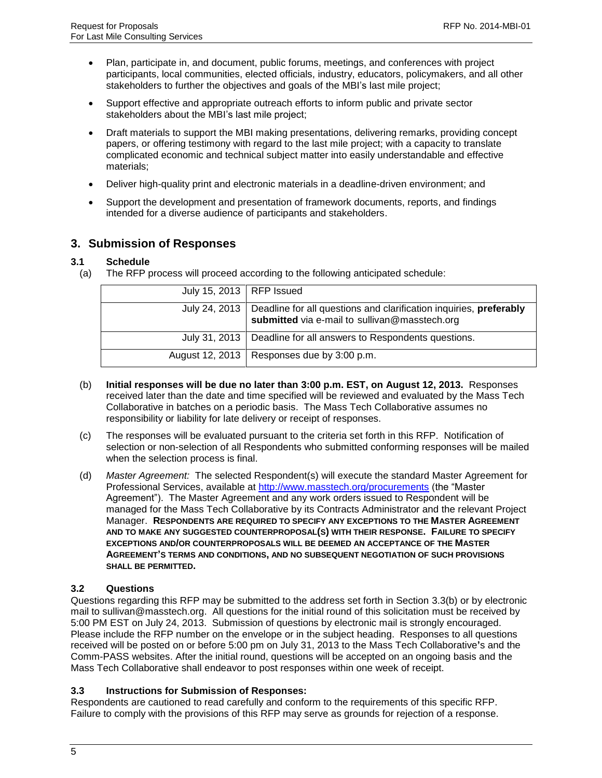- Plan, participate in, and document, public forums, meetings, and conferences with project participants, local communities, elected officials, industry, educators, policymakers, and all other stakeholders to further the objectives and goals of the MBI's last mile project;
- Support effective and appropriate outreach efforts to inform public and private sector stakeholders about the MBI's last mile project;
- Draft materials to support the MBI making presentations, delivering remarks, providing concept papers, or offering testimony with regard to the last mile project; with a capacity to translate complicated economic and technical subject matter into easily understandable and effective materials;
- Deliver high-quality print and electronic materials in a deadline-driven environment; and
- Support the development and presentation of framework documents, reports, and findings intended for a diverse audience of participants and stakeholders.

### <span id="page-6-0"></span>**3. Submission of Responses**

### <span id="page-6-1"></span>**3.1 Schedule**

(a) The RFP process will proceed according to the following anticipated schedule:

| July 15, 2013   RFP Issued |                                                                                                                                     |
|----------------------------|-------------------------------------------------------------------------------------------------------------------------------------|
|                            | July 24, 2013   Deadline for all questions and clarification inquiries, preferably<br>submitted via e-mail to sullivan@masstech.org |
|                            | July 31, 2013   Deadline for all answers to Respondents questions.                                                                  |
|                            | August 12, 2013   Responses due by $3:00$ p.m.                                                                                      |

- (b) **Initial responses will be due no later than 3:00 p.m. EST, on August 12, 2013.** Responses received later than the date and time specified will be reviewed and evaluated by the Mass Tech Collaborative in batches on a periodic basis. The Mass Tech Collaborative assumes no responsibility or liability for late delivery or receipt of responses.
- (c) The responses will be evaluated pursuant to the criteria set forth in this RFP. Notification of selection or non-selection of all Respondents who submitted conforming responses will be mailed when the selection process is final.
- (d) *Master Agreement:* The selected Respondent(s) will execute the standard Master Agreement for Professional Services, available at<http://www.masstech.org/procurements> (the "Master Agreement"). The Master Agreement and any work orders issued to Respondent will be managed for the Mass Tech Collaborative by its Contracts Administrator and the relevant Project Manager. **RESPONDENTS ARE REQUIRED TO SPECIFY ANY EXCEPTIONS TO THE MASTER AGREEMENT AND TO MAKE ANY SUGGESTED COUNTERPROPOSAL(S) WITH THEIR RESPONSE. FAILURE TO SPECIFY EXCEPTIONS AND/OR COUNTERPROPOSALS WILL BE DEEMED AN ACCEPTANCE OF THE MASTER AGREEMENT'S TERMS AND CONDITIONS, AND NO SUBSEQUENT NEGOTIATION OF SUCH PROVISIONS SHALL BE PERMITTED.**

### <span id="page-6-2"></span>**3.2 Questions**

Questions regarding this RFP may be submitted to the address set forth in Section 3.3(b) or by electronic mail to sullivan@masstech.org. All questions for the initial round of this solicitation must be received by 5:00 PM EST on July 24, 2013. Submission of questions by electronic mail is strongly encouraged. Please include the RFP number on the envelope or in the subject heading. Responses to all questions received will be posted on or before 5:00 pm on July 31, 2013 to the Mass Tech Collaborative**'**s and the Comm-PASS websites. After the initial round, questions will be accepted on an ongoing basis and the Mass Tech Collaborative shall endeavor to post responses within one week of receipt.

### <span id="page-6-3"></span>**3.3 Instructions for Submission of Responses:**

Respondents are cautioned to read carefully and conform to the requirements of this specific RFP. Failure to comply with the provisions of this RFP may serve as grounds for rejection of a response.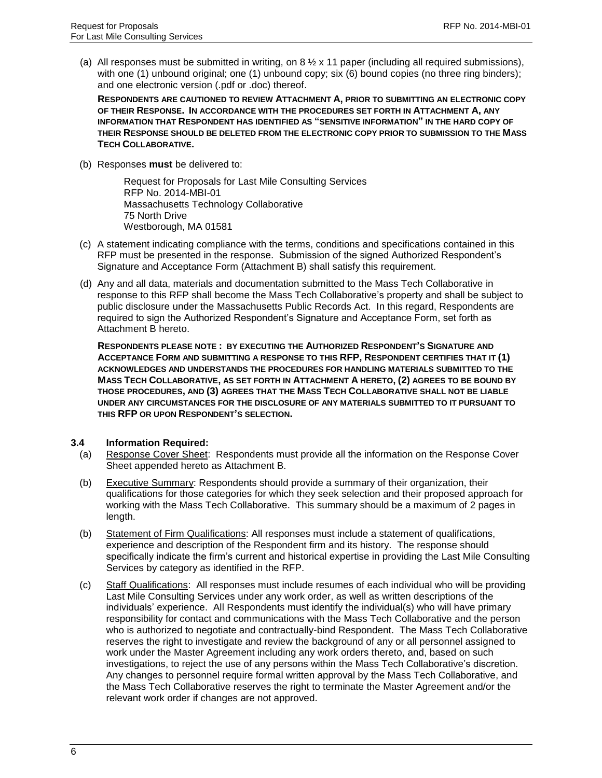(a) All responses must be submitted in writing, on 8  $\frac{1}{2}$  x 11 paper (including all required submissions), with one (1) unbound original; one (1) unbound copy; six (6) bound copies (no three ring binders); and one electronic version (.pdf or .doc) thereof.

**RESPONDENTS ARE CAUTIONED TO REVIEW ATTACHMENT A, PRIOR TO SUBMITTING AN ELECTRONIC COPY OF THEIR RESPONSE. IN ACCORDANCE WITH THE PROCEDURES SET FORTH IN ATTACHMENT A, ANY INFORMATION THAT RESPONDENT HAS IDENTIFIED AS "SENSITIVE INFORMATION" IN THE HARD COPY OF THEIR RESPONSE SHOULD BE DELETED FROM THE ELECTRONIC COPY PRIOR TO SUBMISSION TO THE MASS TECH COLLABORATIVE.** 

(b) Responses **must** be delivered to:

Request for Proposals for Last Mile Consulting Services RFP No. 2014-MBI-01 Massachusetts Technology Collaborative 75 North Drive Westborough, MA 01581

- (c) A statement indicating compliance with the terms, conditions and specifications contained in this RFP must be presented in the response. Submission of the signed Authorized Respondent's Signature and Acceptance Form (Attachment B) shall satisfy this requirement.
- (d) Any and all data, materials and documentation submitted to the Mass Tech Collaborative in response to this RFP shall become the Mass Tech Collaborative's property and shall be subject to public disclosure under the Massachusetts Public Records Act. In this regard, Respondents are required to sign the Authorized Respondent's Signature and Acceptance Form, set forth as Attachment B hereto.

**RESPONDENTS PLEASE NOTE : BY EXECUTING THE AUTHORIZED RESPONDENT'S SIGNATURE AND ACCEPTANCE FORM AND SUBMITTING A RESPONSE TO THIS RFP, RESPONDENT CERTIFIES THAT IT (1) ACKNOWLEDGES AND UNDERSTANDS THE PROCEDURES FOR HANDLING MATERIALS SUBMITTED TO THE MASS TECH COLLABORATIVE, AS SET FORTH IN ATTACHMENT A HERETO, (2) AGREES TO BE BOUND BY THOSE PROCEDURES, AND (3) AGREES THAT THE MASS TECH COLLABORATIVE SHALL NOT BE LIABLE UNDER ANY CIRCUMSTANCES FOR THE DISCLOSURE OF ANY MATERIALS SUBMITTED TO IT PURSUANT TO THIS RFP OR UPON RESPONDENT'S SELECTION.** 

#### <span id="page-7-0"></span>**3.4 Information Required:**

- (a) Response Cover Sheet: Respondents must provide all the information on the Response Cover Sheet appended hereto as Attachment B.
- (b) Executive Summary: Respondents should provide a summary of their organization, their qualifications for those categories for which they seek selection and their proposed approach for working with the Mass Tech Collaborative. This summary should be a maximum of 2 pages in length.
- (b) Statement of Firm Qualifications: All responses must include a statement of qualifications, experience and description of the Respondent firm and its history. The response should specifically indicate the firm's current and historical expertise in providing the Last Mile Consulting Services by category as identified in the RFP.
- (c) Staff Qualifications: All responses must include resumes of each individual who will be providing Last Mile Consulting Services under any work order, as well as written descriptions of the individuals' experience. All Respondents must identify the individual(s) who will have primary responsibility for contact and communications with the Mass Tech Collaborative and the person who is authorized to negotiate and contractually-bind Respondent. The Mass Tech Collaborative reserves the right to investigate and review the background of any or all personnel assigned to work under the Master Agreement including any work orders thereto, and, based on such investigations, to reject the use of any persons within the Mass Tech Collaborative's discretion. Any changes to personnel require formal written approval by the Mass Tech Collaborative, and the Mass Tech Collaborative reserves the right to terminate the Master Agreement and/or the relevant work order if changes are not approved.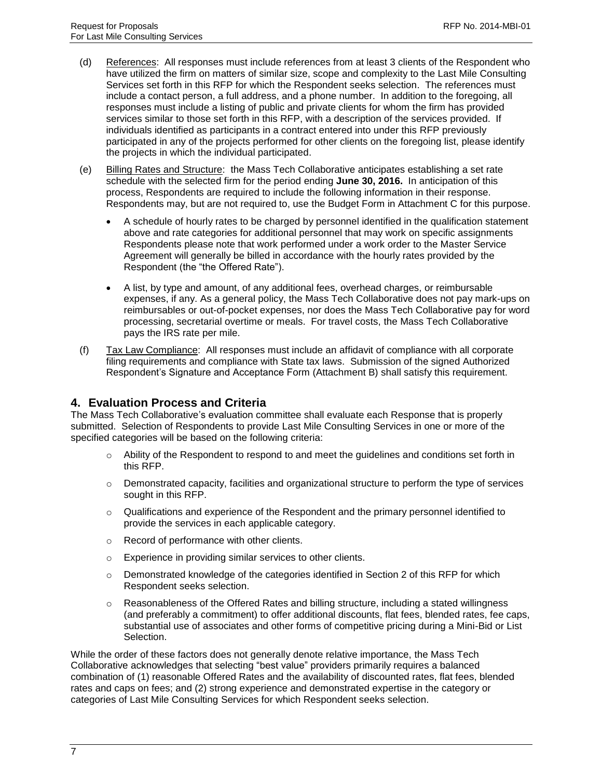- (d) References: All responses must include references from at least 3 clients of the Respondent who have utilized the firm on matters of similar size, scope and complexity to the Last Mile Consulting Services set forth in this RFP for which the Respondent seeks selection. The references must include a contact person, a full address, and a phone number. In addition to the foregoing, all responses must include a listing of public and private clients for whom the firm has provided services similar to those set forth in this RFP, with a description of the services provided. If individuals identified as participants in a contract entered into under this RFP previously participated in any of the projects performed for other clients on the foregoing list, please identify the projects in which the individual participated.
- (e) Billing Rates and Structure: the Mass Tech Collaborative anticipates establishing a set rate schedule with the selected firm for the period ending **June 30, 2016.** In anticipation of this process, Respondents are required to include the following information in their response. Respondents may, but are not required to, use the Budget Form in Attachment C for this purpose.
	- A schedule of hourly rates to be charged by personnel identified in the qualification statement above and rate categories for additional personnel that may work on specific assignments Respondents please note that work performed under a work order to the Master Service Agreement will generally be billed in accordance with the hourly rates provided by the Respondent (the "the Offered Rate").
	- A list, by type and amount, of any additional fees, overhead charges, or reimbursable expenses, if any. As a general policy, the Mass Tech Collaborative does not pay mark-ups on reimbursables or out-of-pocket expenses, nor does the Mass Tech Collaborative pay for word processing, secretarial overtime or meals. For travel costs, the Mass Tech Collaborative pays the IRS rate per mile.
- (f) Tax Law Compliance: All responses must include an affidavit of compliance with all corporate filing requirements and compliance with State tax laws. Submission of the signed Authorized Respondent's Signature and Acceptance Form (Attachment B) shall satisfy this requirement.

### <span id="page-8-0"></span>**4. Evaluation Process and Criteria**

The Mass Tech Collaborative's evaluation committee shall evaluate each Response that is properly submitted. Selection of Respondents to provide Last Mile Consulting Services in one or more of the specified categories will be based on the following criteria:

- $\circ$  Ability of the Respondent to respond to and meet the guidelines and conditions set forth in this RFP.
- $\circ$  Demonstrated capacity, facilities and organizational structure to perform the type of services sought in this RFP.
- $\circ$  Qualifications and experience of the Respondent and the primary personnel identified to provide the services in each applicable category.
- o Record of performance with other clients.
- o Experience in providing similar services to other clients.
- $\circ$  Demonstrated knowledge of the categories identified in Section 2 of this RFP for which Respondent seeks selection.
- $\circ$  Reasonableness of the Offered Rates and billing structure, including a stated willingness (and preferably a commitment) to offer additional discounts, flat fees, blended rates, fee caps, substantial use of associates and other forms of competitive pricing during a Mini-Bid or List Selection.

While the order of these factors does not generally denote relative importance, the Mass Tech Collaborative acknowledges that selecting "best value" providers primarily requires a balanced combination of (1) reasonable Offered Rates and the availability of discounted rates, flat fees, blended rates and caps on fees; and (2) strong experience and demonstrated expertise in the category or categories of Last Mile Consulting Services for which Respondent seeks selection.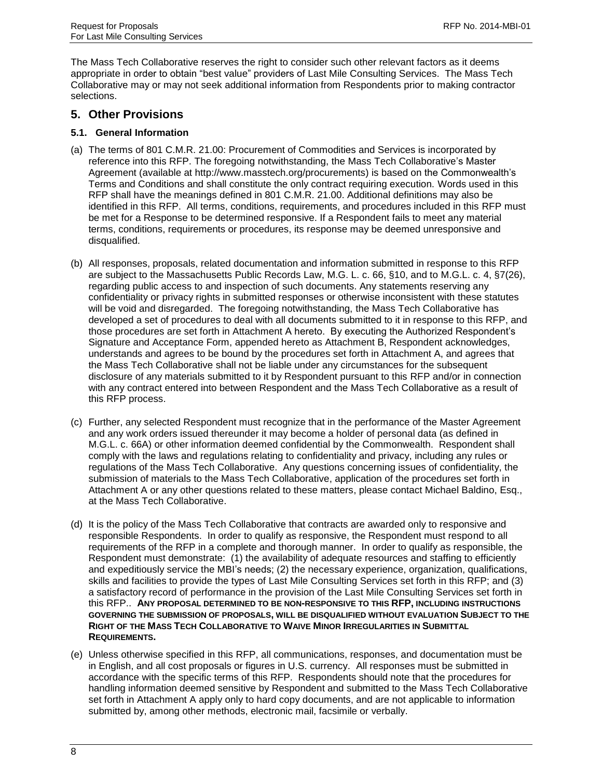The Mass Tech Collaborative reserves the right to consider such other relevant factors as it deems appropriate in order to obtain "best value" providers of Last Mile Consulting Services. The Mass Tech Collaborative may or may not seek additional information from Respondents prior to making contractor selections.

### <span id="page-9-0"></span>**5. Other Provisions**

### <span id="page-9-1"></span>**5.1. General Information**

- (a) The terms of 801 C.M.R. 21.00: Procurement of Commodities and Services is incorporated by reference into this RFP. The foregoing notwithstanding, the Mass Tech Collaborative's Master Agreement (available at http://www.masstech.org/procurements) is based on the Commonwealth's Terms and Conditions and shall constitute the only contract requiring execution. Words used in this RFP shall have the meanings defined in 801 C.M.R. 21.00. Additional definitions may also be identified in this RFP. All terms, conditions, requirements, and procedures included in this RFP must be met for a Response to be determined responsive. If a Respondent fails to meet any material terms, conditions, requirements or procedures, its response may be deemed unresponsive and disqualified.
- (b) All responses, proposals, related documentation and information submitted in response to this RFP are subject to the Massachusetts Public Records Law, M.G. L. c. 66, §10, and to M.G.L. c. 4, §7(26), regarding public access to and inspection of such documents. Any statements reserving any confidentiality or privacy rights in submitted responses or otherwise inconsistent with these statutes will be void and disregarded. The foregoing notwithstanding, the Mass Tech Collaborative has developed a set of procedures to deal with all documents submitted to it in response to this RFP, and those procedures are set forth in Attachment A hereto. By executing the Authorized Respondent's Signature and Acceptance Form, appended hereto as Attachment B, Respondent acknowledges, understands and agrees to be bound by the procedures set forth in Attachment A, and agrees that the Mass Tech Collaborative shall not be liable under any circumstances for the subsequent disclosure of any materials submitted to it by Respondent pursuant to this RFP and/or in connection with any contract entered into between Respondent and the Mass Tech Collaborative as a result of this RFP process.
- (c) Further, any selected Respondent must recognize that in the performance of the Master Agreement and any work orders issued thereunder it may become a holder of personal data (as defined in M.G.L. c. 66A) or other information deemed confidential by the Commonwealth. Respondent shall comply with the laws and regulations relating to confidentiality and privacy, including any rules or regulations of the Mass Tech Collaborative. Any questions concerning issues of confidentiality, the submission of materials to the Mass Tech Collaborative, application of the procedures set forth in Attachment A or any other questions related to these matters, please contact Michael Baldino, Esq., at the Mass Tech Collaborative.
- (d) It is the policy of the Mass Tech Collaborative that contracts are awarded only to responsive and responsible Respondents. In order to qualify as responsive, the Respondent must respond to all requirements of the RFP in a complete and thorough manner. In order to qualify as responsible, the Respondent must demonstrate: (1) the availability of adequate resources and staffing to efficiently and expeditiously service the MBI's needs; (2) the necessary experience, organization, qualifications, skills and facilities to provide the types of Last Mile Consulting Services set forth in this RFP; and (3) a satisfactory record of performance in the provision of the Last Mile Consulting Services set forth in this RFP.. **ANY PROPOSAL DETERMINED TO BE NON-RESPONSIVE TO THIS RFP, INCLUDING INSTRUCTIONS GOVERNING THE SUBMISSION OF PROPOSALS, WILL BE DISQUALIFIED WITHOUT EVALUATION SUBJECT TO THE RIGHT OF THE MASS TECH COLLABORATIVE TO WAIVE MINOR IRREGULARITIES IN SUBMITTAL REQUIREMENTS.**
- (e) Unless otherwise specified in this RFP, all communications, responses, and documentation must be in English, and all cost proposals or figures in U.S. currency. All responses must be submitted in accordance with the specific terms of this RFP. Respondents should note that the procedures for handling information deemed sensitive by Respondent and submitted to the Mass Tech Collaborative set forth in Attachment A apply only to hard copy documents, and are not applicable to information submitted by, among other methods, electronic mail, facsimile or verbally.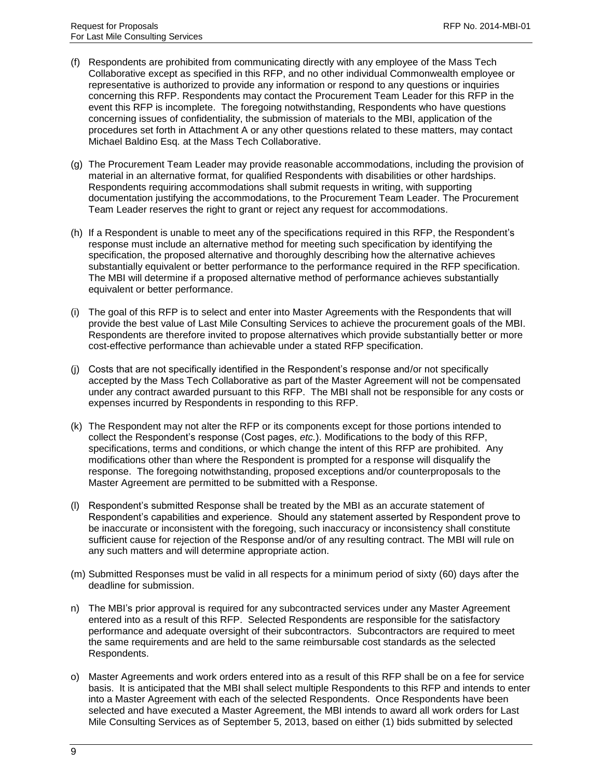- (f) Respondents are prohibited from communicating directly with any employee of the Mass Tech Collaborative except as specified in this RFP, and no other individual Commonwealth employee or representative is authorized to provide any information or respond to any questions or inquiries concerning this RFP. Respondents may contact the Procurement Team Leader for this RFP in the event this RFP is incomplete. The foregoing notwithstanding, Respondents who have questions concerning issues of confidentiality, the submission of materials to the MBI, application of the procedures set forth in Attachment A or any other questions related to these matters, may contact Michael Baldino Esq. at the Mass Tech Collaborative.
- (g) The Procurement Team Leader may provide reasonable accommodations, including the provision of material in an alternative format, for qualified Respondents with disabilities or other hardships. Respondents requiring accommodations shall submit requests in writing, with supporting documentation justifying the accommodations, to the Procurement Team Leader. The Procurement Team Leader reserves the right to grant or reject any request for accommodations.
- (h) If a Respondent is unable to meet any of the specifications required in this RFP, the Respondent's response must include an alternative method for meeting such specification by identifying the specification, the proposed alternative and thoroughly describing how the alternative achieves substantially equivalent or better performance to the performance required in the RFP specification. The MBI will determine if a proposed alternative method of performance achieves substantially equivalent or better performance.
- (i) The goal of this RFP is to select and enter into Master Agreements with the Respondents that will provide the best value of Last Mile Consulting Services to achieve the procurement goals of the MBI. Respondents are therefore invited to propose alternatives which provide substantially better or more cost-effective performance than achievable under a stated RFP specification.
- (j) Costs that are not specifically identified in the Respondent's response and/or not specifically accepted by the Mass Tech Collaborative as part of the Master Agreement will not be compensated under any contract awarded pursuant to this RFP. The MBI shall not be responsible for any costs or expenses incurred by Respondents in responding to this RFP.
- (k) The Respondent may not alter the RFP or its components except for those portions intended to collect the Respondent's response (Cost pages, *etc.*). Modifications to the body of this RFP, specifications, terms and conditions, or which change the intent of this RFP are prohibited. Any modifications other than where the Respondent is prompted for a response will disqualify the response. The foregoing notwithstanding, proposed exceptions and/or counterproposals to the Master Agreement are permitted to be submitted with a Response.
- (l) Respondent's submitted Response shall be treated by the MBI as an accurate statement of Respondent's capabilities and experience. Should any statement asserted by Respondent prove to be inaccurate or inconsistent with the foregoing, such inaccuracy or inconsistency shall constitute sufficient cause for rejection of the Response and/or of any resulting contract. The MBI will rule on any such matters and will determine appropriate action.
- (m) Submitted Responses must be valid in all respects for a minimum period of sixty (60) days after the deadline for submission.
- n) The MBI's prior approval is required for any subcontracted services under any Master Agreement entered into as a result of this RFP. Selected Respondents are responsible for the satisfactory performance and adequate oversight of their subcontractors. Subcontractors are required to meet the same requirements and are held to the same reimbursable cost standards as the selected Respondents.
- o) Master Agreements and work orders entered into as a result of this RFP shall be on a fee for service basis. It is anticipated that the MBI shall select multiple Respondents to this RFP and intends to enter into a Master Agreement with each of the selected Respondents. Once Respondents have been selected and have executed a Master Agreement, the MBI intends to award all work orders for Last Mile Consulting Services as of September 5, 2013, based on either (1) bids submitted by selected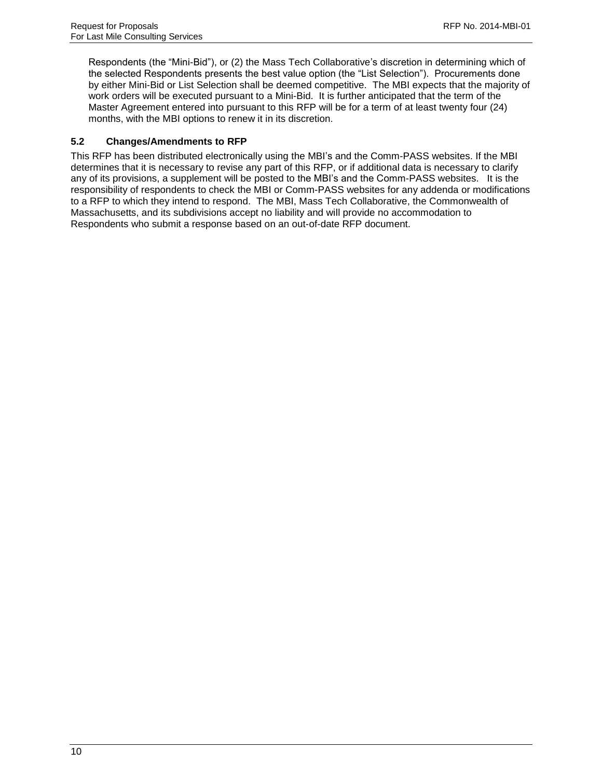Respondents (the "Mini-Bid"), or (2) the Mass Tech Collaborative's discretion in determining which of the selected Respondents presents the best value option (the "List Selection"). Procurements done by either Mini-Bid or List Selection shall be deemed competitive. The MBI expects that the majority of work orders will be executed pursuant to a Mini-Bid. It is further anticipated that the term of the Master Agreement entered into pursuant to this RFP will be for a term of at least twenty four (24) months, with the MBI options to renew it in its discretion.

### <span id="page-11-0"></span>**5.2 Changes/Amendments to RFP**

This RFP has been distributed electronically using the MBI's and the Comm-PASS websites. If the MBI determines that it is necessary to revise any part of this RFP, or if additional data is necessary to clarify any of its provisions, a supplement will be posted to the MBI's and the Comm-PASS websites. It is the responsibility of respondents to check the MBI or Comm-PASS websites for any addenda or modifications to a RFP to which they intend to respond. The MBI, Mass Tech Collaborative, the Commonwealth of Massachusetts, and its subdivisions accept no liability and will provide no accommodation to Respondents who submit a response based on an out-of-date RFP document.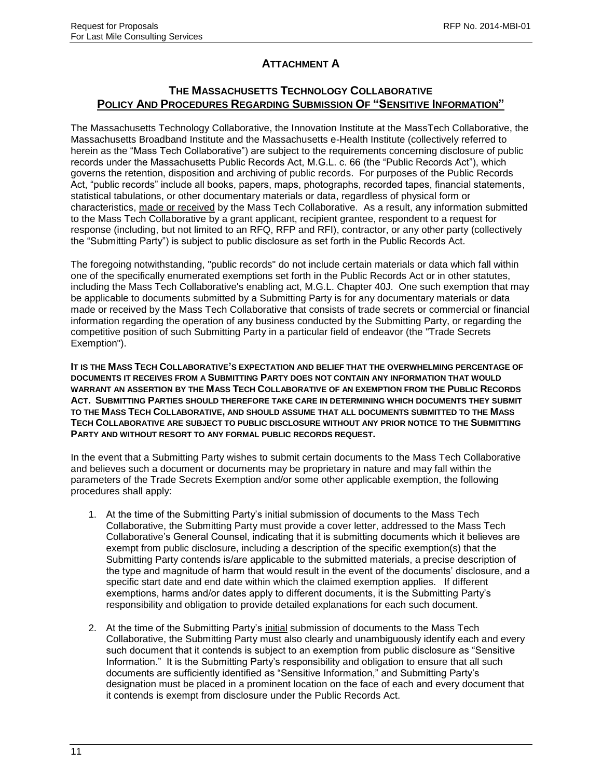# **ATTACHMENT A**

### **THE MASSACHUSETTS TECHNOLOGY COLLABORATIVE POLICY AND PROCEDURES REGARDING SUBMISSION OF "SENSITIVE INFORMATION"**

The Massachusetts Technology Collaborative, the Innovation Institute at the MassTech Collaborative, the Massachusetts Broadband Institute and the Massachusetts e-Health Institute (collectively referred to herein as the "Mass Tech Collaborative") are subject to the requirements concerning disclosure of public records under the Massachusetts Public Records Act, M.G.L. c. 66 (the "Public Records Act"), which governs the retention, disposition and archiving of public records. For purposes of the Public Records Act, "public records" include all books, papers, maps, photographs, recorded tapes, financial statements, statistical tabulations, or other documentary materials or data, regardless of physical form or characteristics, made or received by the Mass Tech Collaborative. As a result, any information submitted to the Mass Tech Collaborative by a grant applicant, recipient grantee, respondent to a request for response (including, but not limited to an RFQ, RFP and RFI), contractor, or any other party (collectively the "Submitting Party") is subject to public disclosure as set forth in the Public Records Act.

The foregoing notwithstanding, "public records" do not include certain materials or data which fall within one of the specifically enumerated exemptions set forth in the Public Records Act or in other statutes, including the Mass Tech Collaborative's enabling act, M.G.L. Chapter 40J. One such exemption that may be applicable to documents submitted by a Submitting Party is for any documentary materials or data made or received by the Mass Tech Collaborative that consists of trade secrets or commercial or financial information regarding the operation of any business conducted by the Submitting Party, or regarding the competitive position of such Submitting Party in a particular field of endeavor (the "Trade Secrets Exemption").

**IT IS THE MASS TECH COLLABORATIVE'S EXPECTATION AND BELIEF THAT THE OVERWHELMING PERCENTAGE OF DOCUMENTS IT RECEIVES FROM A SUBMITTING PARTY DOES NOT CONTAIN ANY INFORMATION THAT WOULD WARRANT AN ASSERTION BY THE MASS TECH COLLABORATIVE OF AN EXEMPTION FROM THE PUBLIC RECORDS ACT. SUBMITTING PARTIES SHOULD THEREFORE TAKE CARE IN DETERMINING WHICH DOCUMENTS THEY SUBMIT TO THE MASS TECH COLLABORATIVE, AND SHOULD ASSUME THAT ALL DOCUMENTS SUBMITTED TO THE MASS TECH COLLABORATIVE ARE SUBJECT TO PUBLIC DISCLOSURE WITHOUT ANY PRIOR NOTICE TO THE SUBMITTING PARTY AND WITHOUT RESORT TO ANY FORMAL PUBLIC RECORDS REQUEST.**

In the event that a Submitting Party wishes to submit certain documents to the Mass Tech Collaborative and believes such a document or documents may be proprietary in nature and may fall within the parameters of the Trade Secrets Exemption and/or some other applicable exemption, the following procedures shall apply:

- 1. At the time of the Submitting Party's initial submission of documents to the Mass Tech Collaborative, the Submitting Party must provide a cover letter, addressed to the Mass Tech Collaborative's General Counsel, indicating that it is submitting documents which it believes are exempt from public disclosure, including a description of the specific exemption(s) that the Submitting Party contends is/are applicable to the submitted materials, a precise description of the type and magnitude of harm that would result in the event of the documents' disclosure, and a specific start date and end date within which the claimed exemption applies. If different exemptions, harms and/or dates apply to different documents, it is the Submitting Party's responsibility and obligation to provide detailed explanations for each such document.
- 2. At the time of the Submitting Party's initial submission of documents to the Mass Tech Collaborative, the Submitting Party must also clearly and unambiguously identify each and every such document that it contends is subject to an exemption from public disclosure as "Sensitive Information." It is the Submitting Party's responsibility and obligation to ensure that all such documents are sufficiently identified as "Sensitive Information," and Submitting Party's designation must be placed in a prominent location on the face of each and every document that it contends is exempt from disclosure under the Public Records Act.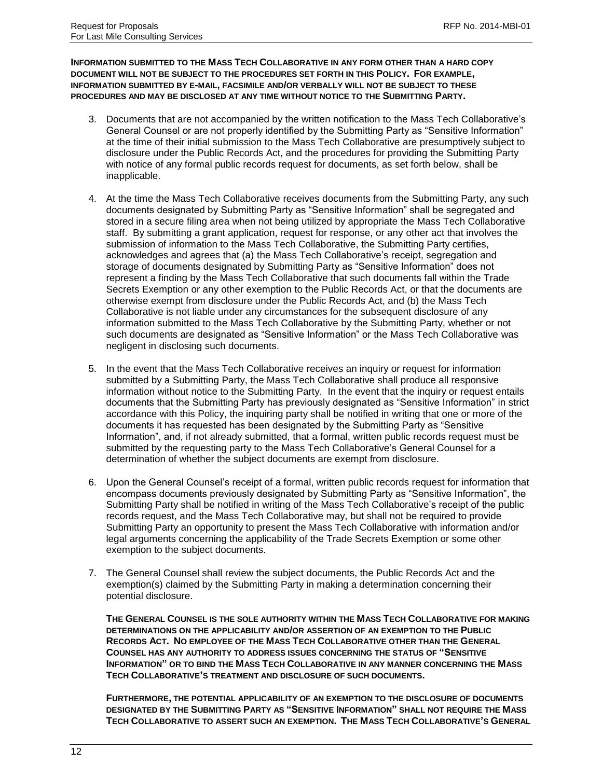**INFORMATION SUBMITTED TO THE MASS TECH COLLABORATIVE IN ANY FORM OTHER THAN A HARD COPY DOCUMENT WILL NOT BE SUBJECT TO THE PROCEDURES SET FORTH IN THIS POLICY. FOR EXAMPLE, INFORMATION SUBMITTED BY E-MAIL, FACSIMILE AND/OR VERBALLY WILL NOT BE SUBJECT TO THESE PROCEDURES AND MAY BE DISCLOSED AT ANY TIME WITHOUT NOTICE TO THE SUBMITTING PARTY.** 

- 3. Documents that are not accompanied by the written notification to the Mass Tech Collaborative's General Counsel or are not properly identified by the Submitting Party as "Sensitive Information" at the time of their initial submission to the Mass Tech Collaborative are presumptively subject to disclosure under the Public Records Act, and the procedures for providing the Submitting Party with notice of any formal public records request for documents, as set forth below, shall be inapplicable.
- 4. At the time the Mass Tech Collaborative receives documents from the Submitting Party, any such documents designated by Submitting Party as "Sensitive Information" shall be segregated and stored in a secure filing area when not being utilized by appropriate the Mass Tech Collaborative staff. By submitting a grant application, request for response, or any other act that involves the submission of information to the Mass Tech Collaborative, the Submitting Party certifies, acknowledges and agrees that (a) the Mass Tech Collaborative's receipt, segregation and storage of documents designated by Submitting Party as "Sensitive Information" does not represent a finding by the Mass Tech Collaborative that such documents fall within the Trade Secrets Exemption or any other exemption to the Public Records Act, or that the documents are otherwise exempt from disclosure under the Public Records Act, and (b) the Mass Tech Collaborative is not liable under any circumstances for the subsequent disclosure of any information submitted to the Mass Tech Collaborative by the Submitting Party, whether or not such documents are designated as "Sensitive Information" or the Mass Tech Collaborative was negligent in disclosing such documents.
- 5. In the event that the Mass Tech Collaborative receives an inquiry or request for information submitted by a Submitting Party, the Mass Tech Collaborative shall produce all responsive information without notice to the Submitting Party. In the event that the inquiry or request entails documents that the Submitting Party has previously designated as "Sensitive Information" in strict accordance with this Policy, the inquiring party shall be notified in writing that one or more of the documents it has requested has been designated by the Submitting Party as "Sensitive Information", and, if not already submitted, that a formal, written public records request must be submitted by the requesting party to the Mass Tech Collaborative's General Counsel for a determination of whether the subject documents are exempt from disclosure.
- 6. Upon the General Counsel's receipt of a formal, written public records request for information that encompass documents previously designated by Submitting Party as "Sensitive Information", the Submitting Party shall be notified in writing of the Mass Tech Collaborative's receipt of the public records request, and the Mass Tech Collaborative may, but shall not be required to provide Submitting Party an opportunity to present the Mass Tech Collaborative with information and/or legal arguments concerning the applicability of the Trade Secrets Exemption or some other exemption to the subject documents.
- 7. The General Counsel shall review the subject documents, the Public Records Act and the exemption(s) claimed by the Submitting Party in making a determination concerning their potential disclosure.

**THE GENERAL COUNSEL IS THE SOLE AUTHORITY WITHIN THE MASS TECH COLLABORATIVE FOR MAKING DETERMINATIONS ON THE APPLICABILITY AND/OR ASSERTION OF AN EXEMPTION TO THE PUBLIC RECORDS ACT. NO EMPLOYEE OF THE MASS TECH COLLABORATIVE OTHER THAN THE GENERAL COUNSEL HAS ANY AUTHORITY TO ADDRESS ISSUES CONCERNING THE STATUS OF "SENSITIVE INFORMATION" OR TO BIND THE MASS TECH COLLABORATIVE IN ANY MANNER CONCERNING THE MASS TECH COLLABORATIVE'S TREATMENT AND DISCLOSURE OF SUCH DOCUMENTS.** 

**FURTHERMORE, THE POTENTIAL APPLICABILITY OF AN EXEMPTION TO THE DISCLOSURE OF DOCUMENTS DESIGNATED BY THE SUBMITTING PARTY AS "SENSITIVE INFORMATION" SHALL NOT REQUIRE THE MASS TECH COLLABORATIVE TO ASSERT SUCH AN EXEMPTION. THE MASS TECH COLLABORATIVE'S GENERAL**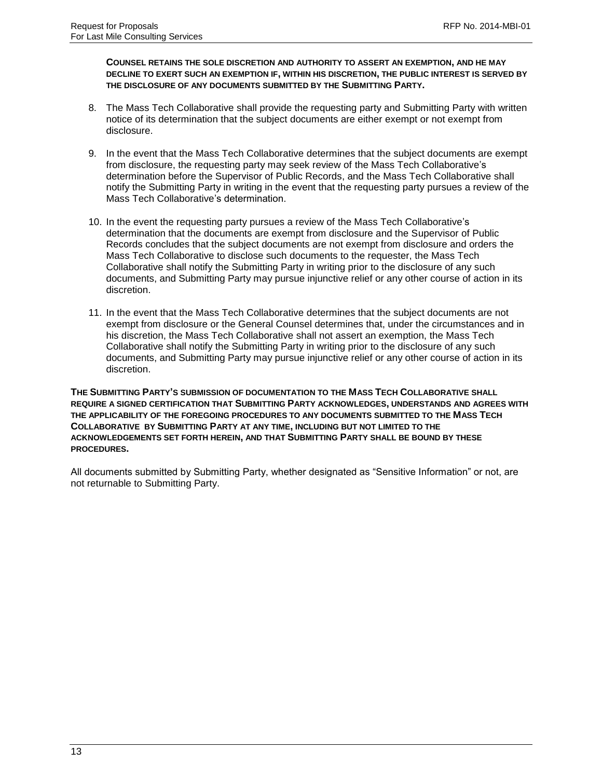**COUNSEL RETAINS THE SOLE DISCRETION AND AUTHORITY TO ASSERT AN EXEMPTION, AND HE MAY DECLINE TO EXERT SUCH AN EXEMPTION IF, WITHIN HIS DISCRETION, THE PUBLIC INTEREST IS SERVED BY THE DISCLOSURE OF ANY DOCUMENTS SUBMITTED BY THE SUBMITTING PARTY.**

- 8. The Mass Tech Collaborative shall provide the requesting party and Submitting Party with written notice of its determination that the subject documents are either exempt or not exempt from disclosure.
- 9. In the event that the Mass Tech Collaborative determines that the subject documents are exempt from disclosure, the requesting party may seek review of the Mass Tech Collaborative's determination before the Supervisor of Public Records, and the Mass Tech Collaborative shall notify the Submitting Party in writing in the event that the requesting party pursues a review of the Mass Tech Collaborative's determination.
- 10. In the event the requesting party pursues a review of the Mass Tech Collaborative's determination that the documents are exempt from disclosure and the Supervisor of Public Records concludes that the subject documents are not exempt from disclosure and orders the Mass Tech Collaborative to disclose such documents to the requester, the Mass Tech Collaborative shall notify the Submitting Party in writing prior to the disclosure of any such documents, and Submitting Party may pursue injunctive relief or any other course of action in its discretion.
- 11. In the event that the Mass Tech Collaborative determines that the subject documents are not exempt from disclosure or the General Counsel determines that, under the circumstances and in his discretion, the Mass Tech Collaborative shall not assert an exemption, the Mass Tech Collaborative shall notify the Submitting Party in writing prior to the disclosure of any such documents, and Submitting Party may pursue injunctive relief or any other course of action in its discretion.

**THE SUBMITTING PARTY'S SUBMISSION OF DOCUMENTATION TO THE MASS TECH COLLABORATIVE SHALL REQUIRE A SIGNED CERTIFICATION THAT SUBMITTING PARTY ACKNOWLEDGES, UNDERSTANDS AND AGREES WITH THE APPLICABILITY OF THE FOREGOING PROCEDURES TO ANY DOCUMENTS SUBMITTED TO THE MASS TECH COLLABORATIVE BY SUBMITTING PARTY AT ANY TIME, INCLUDING BUT NOT LIMITED TO THE ACKNOWLEDGEMENTS SET FORTH HEREIN, AND THAT SUBMITTING PARTY SHALL BE BOUND BY THESE PROCEDURES.** 

All documents submitted by Submitting Party, whether designated as "Sensitive Information" or not, are not returnable to Submitting Party.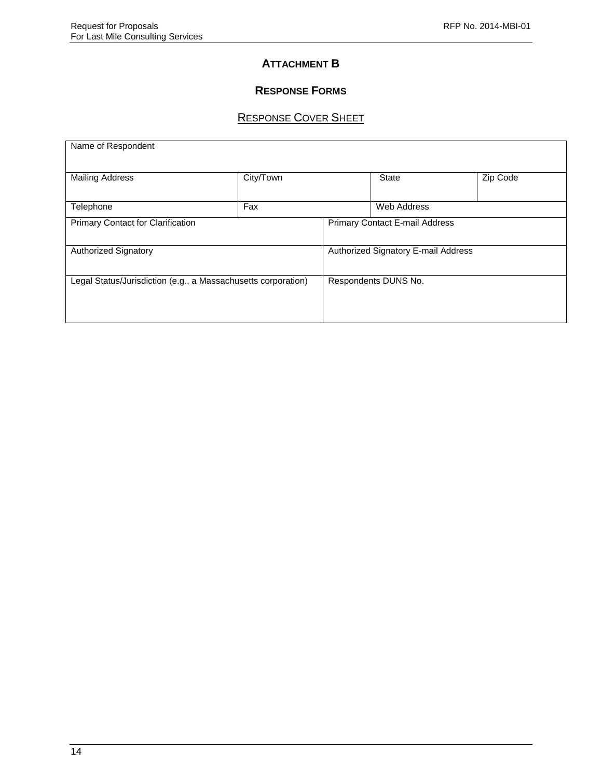### **ATTACHMENT B**

# **RESPONSE FORMS**

# RESPONSE COVER SHEET

| Name of Respondent                                            |                                     |                      |             |          |  |  |  |  |
|---------------------------------------------------------------|-------------------------------------|----------------------|-------------|----------|--|--|--|--|
| <b>Mailing Address</b>                                        | City/Town                           |                      |             | Zip Code |  |  |  |  |
| Telephone                                                     | Fax                                 |                      | Web Address |          |  |  |  |  |
| <b>Primary Contact for Clarification</b>                      | Primary Contact E-mail Address      |                      |             |          |  |  |  |  |
| <b>Authorized Signatory</b>                                   | Authorized Signatory E-mail Address |                      |             |          |  |  |  |  |
| Legal Status/Jurisdiction (e.g., a Massachusetts corporation) |                                     | Respondents DUNS No. |             |          |  |  |  |  |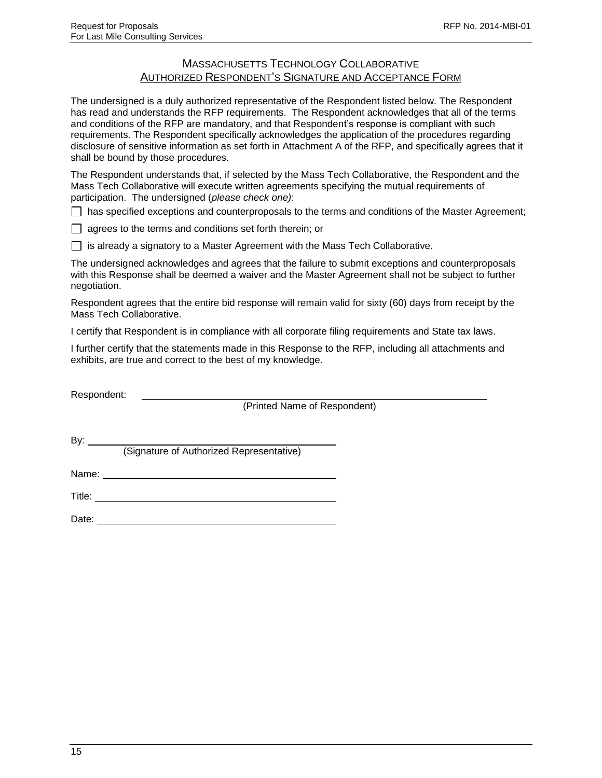### MASSACHUSETTS TECHNOLOGY COLLABORATIVE AUTHORIZED RESPONDENT'S SIGNATURE AND ACCEPTANCE FORM

The undersigned is a duly authorized representative of the Respondent listed below. The Respondent has read and understands the RFP requirements. The Respondent acknowledges that all of the terms and conditions of the RFP are mandatory, and that Respondent's response is compliant with such requirements. The Respondent specifically acknowledges the application of the procedures regarding disclosure of sensitive information as set forth in Attachment A of the RFP, and specifically agrees that it shall be bound by those procedures.

The Respondent understands that, if selected by the Mass Tech Collaborative, the Respondent and the Mass Tech Collaborative will execute written agreements specifying the mutual requirements of participation. The undersigned (*please check one)*:

 $\Box$  has specified exceptions and counterproposals to the terms and conditions of the Master Agreement;

 $\Box$  agrees to the terms and conditions set forth therein; or

 $\Box$  is already a signatory to a Master Agreement with the Mass Tech Collaborative.

The undersigned acknowledges and agrees that the failure to submit exceptions and counterproposals with this Response shall be deemed a waiver and the Master Agreement shall not be subject to further negotiation.

Respondent agrees that the entire bid response will remain valid for sixty (60) days from receipt by the Mass Tech Collaborative.

I certify that Respondent is in compliance with all corporate filing requirements and State tax laws.

I further certify that the statements made in this Response to the RFP, including all attachments and exhibits, are true and correct to the best of my knowledge.

Respondent:

(Printed Name of Respondent)

By:  $\_\_$ 

(Signature of Authorized Representative)

Name: when the contract of the contract of the contract of the contract of the contract of the contract of the contract of the contract of the contract of the contract of the contract of the contract of the contract of the

Title: **The Community of the Community of the Community of the Community of the Community of the Community of the Community of the Community of the Community of the Community of the Community of the Community of the Commun** 

Date: **Date: Date: Date: Date: Date: Date: Date: Date: Date: Date: Date: Date: Date: Date: Date: Date: Date: Date: Date: Date: Date: Date: Date: Date: Date: Date: Date:**